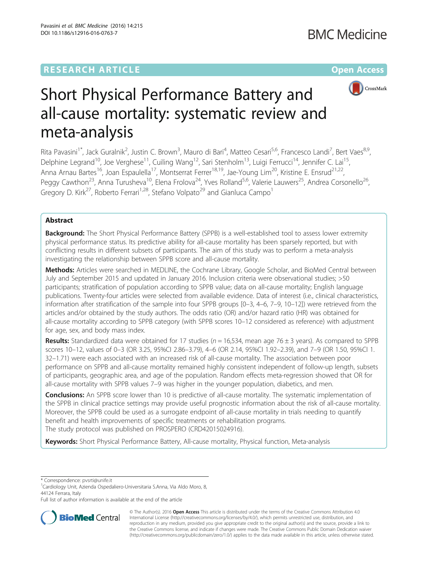## **RESEARCH ARTICLE Example 2014 12:30 The Community Community Community Community Community Community Community**



# Short Physical Performance Battery and all-cause mortality: systematic review and meta-analysis

Rita Pavasini<sup>1\*</sup>, Jack Guralnik<sup>2</sup>, Justin C. Brown<sup>3</sup>, Mauro di Bari<sup>4</sup>, Matteo Cesari<sup>5,6</sup>, Francesco Landi<sup>7</sup>, Bert Vaes<sup>8,9</sup>, Delphine Legrand<sup>10</sup>, Joe Verghese<sup>11</sup>, Cuiling Wang<sup>12</sup>, Sari Stenholm<sup>13</sup>, Luigi Ferrucci<sup>14</sup>, Jennifer C. Lai<sup>15</sup>, Anna Arnau Bartes<sup>16</sup>, Joan Espaulella<sup>17</sup>, Montserrat Ferrer<sup>18,19</sup>, Jae-Young Lim<sup>20</sup>, Kristine E. Ensrud<sup>21,22</sup>, Peggy Cawthon<sup>23</sup>, Anna Turusheva<sup>10</sup>, Elena Frolova<sup>24</sup>, Yves Rolland<sup>5,6</sup>, Valerie Lauwers<sup>25</sup>, Andrea Corsonello<sup>26</sup>, Gregory D. Kirk<sup>27</sup>, Roberto Ferrari<sup>1,28</sup>, Stefano Volpato<sup>29</sup> and Gianluca Campo<sup>1</sup>

#### Abstract

**Background:** The Short Physical Performance Battery (SPPB) is a well-established tool to assess lower extremity physical performance status. Its predictive ability for all-cause mortality has been sparsely reported, but with conflicting results in different subsets of participants. The aim of this study was to perform a meta-analysis investigating the relationship between SPPB score and all-cause mortality.

Methods: Articles were searched in MEDLINE, the Cochrane Library, Google Scholar, and BioMed Central between July and September 2015 and updated in January 2016. Inclusion criteria were observational studies; >50 participants; stratification of population according to SPPB value; data on all-cause mortality; English language publications. Twenty-four articles were selected from available evidence. Data of interest (i.e., clinical characteristics, information after stratification of the sample into four SPPB groups [0–3, 4–6, 7–9, 10–12]) were retrieved from the articles and/or obtained by the study authors. The odds ratio (OR) and/or hazard ratio (HR) was obtained for all-cause mortality according to SPPB category (with SPPB scores 10–12 considered as reference) with adjustment for age, sex, and body mass index.

**Results:** Standardized data were obtained for 17 studies ( $n = 16,534$ , mean age 76  $\pm$  3 years). As compared to SPPB scores 10–12, values of 0–3 (OR 3.25, 95%CI 2.86–3.79), 4–6 (OR 2.14, 95%CI 1.92–2.39), and 7–9 (OR 1.50, 95%CI 1. 32–1.71) were each associated with an increased risk of all-cause mortality. The association between poor performance on SPPB and all-cause mortality remained highly consistent independent of follow-up length, subsets of participants, geographic area, and age of the population. Random effects meta-regression showed that OR for all-cause mortality with SPPB values 7–9 was higher in the younger population, diabetics, and men.

Conclusions: An SPPB score lower than 10 is predictive of all-cause mortality. The systematic implementation of the SPPB in clinical practice settings may provide useful prognostic information about the risk of all-cause mortality. Moreover, the SPPB could be used as a surrogate endpoint of all-cause mortality in trials needing to quantify benefit and health improvements of specific treatments or rehabilitation programs. The study protocol was published on PROSPERO (CRD42015024916).

Keywords: Short Physical Performance Battery, All-cause mortality, Physical function, Meta-analysis

\* Correspondence: [pvsrti@unife.it](mailto:pvsrti@unife.it) <sup>1</sup>

Full list of author information is available at the end of the article



© The Author(s). 2016 Open Access This article is distributed under the terms of the Creative Commons Attribution 4.0 International License [\(http://creativecommons.org/licenses/by/4.0/](http://creativecommons.org/licenses/by/4.0/)), which permits unrestricted use, distribution, and reproduction in any medium, provided you give appropriate credit to the original author(s) and the source, provide a link to the Creative Commons license, and indicate if changes were made. The Creative Commons Public Domain Dedication waiver [\(http://creativecommons.org/publicdomain/zero/1.0/](http://creativecommons.org/publicdomain/zero/1.0/)) applies to the data made available in this article, unless otherwise stated.

Cardiology Unit, Azienda Ospedaliero-Universitaria S.Anna, Via Aldo Moro, 8, 44124 Ferrara, Italy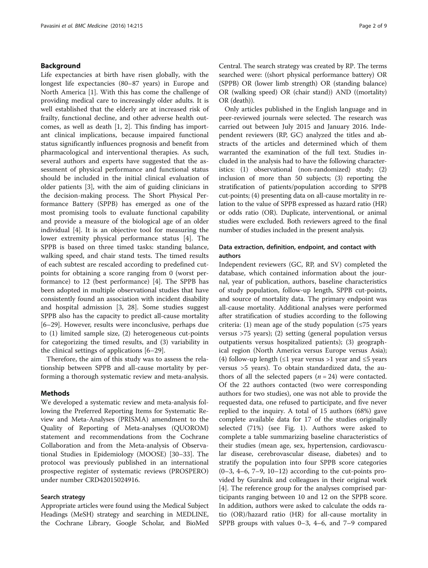#### Background

Life expectancies at birth have risen globally, with the longest life expectancies (80–87 years) in Europe and North America [[1\]](#page-7-0). With this has come the challenge of providing medical care to increasingly older adults. It is well established that the elderly are at increased risk of frailty, functional decline, and other adverse health outcomes, as well as death [[1](#page-7-0), [2](#page-7-0)]. This finding has important clinical implications, because impaired functional status significantly influences prognosis and benefit from pharmacological and interventional therapies. As such, several authors and experts have suggested that the assessment of physical performance and functional status should be included in the initial clinical evaluation of older patients [\[3](#page-7-0)], with the aim of guiding clinicians in the decision-making process. The Short Physical Performance Battery (SPPB) has emerged as one of the most promising tools to evaluate functional capability and provide a measure of the biological age of an older individual [\[4](#page-7-0)]. It is an objective tool for measuring the lower extremity physical performance status [\[4](#page-7-0)]. The SPPB is based on three timed tasks: standing balance, walking speed, and chair stand tests. The timed results of each subtest are rescaled according to predefined cutpoints for obtaining a score ranging from 0 (worst performance) to 12 (best performance) [[4\]](#page-7-0). The SPPB has been adopted in multiple observational studies that have consistently found an association with incident disability and hospital admission [[3, 28](#page-7-0)]. Some studies suggest SPPB also has the capacity to predict all-cause mortality [[6](#page-7-0)–[29\]](#page-7-0). However, results were inconclusive, perhaps due to (1) limited sample size, (2) heterogeneous cut-points for categorizing the timed results, and (3) variability in the clinical settings of applications [\[6](#page-7-0)–[29\]](#page-7-0).

Therefore, the aim of this study was to assess the relationship between SPPB and all-cause mortality by performing a thorough systematic review and meta-analysis.

#### Methods

We developed a systematic review and meta-analysis following the Preferred Reporting Items for Systematic Review and Meta-Analyses (PRISMA) amendment to the Quality of Reporting of Meta-analyses (QUOROM) statement and recommendations from the Cochrane Collaboration and from the Meta-analysis of Observational Studies in Epidemiology (MOOSE) [\[30](#page-7-0)–[33\]](#page-7-0). The protocol was previously published in an international prospective register of systematic reviews (PROSPERO) under number CRD42015024916.

#### Search strategy

Appropriate articles were found using the Medical Subject Headings (MeSH) strategy and searching in MEDLINE, the Cochrane Library, Google Scholar, and BioMed Central. The search strategy was created by RP. The terms searched were: ((short physical performance battery) OR (SPPB) OR (lower limb strength) OR (standing balance) OR (walking speed) OR (chair stand)) AND ((mortality) OR (death)).

Only articles published in the English language and in peer-reviewed journals were selected. The research was carried out between July 2015 and January 2016. Independent reviewers (RP, GC) analyzed the titles and abstracts of the articles and determined which of them warranted the examination of the full text. Studies included in the analysis had to have the following characteristics: (1) observational (non-randomized) study; (2) inclusion of more than 50 subjects; (3) reporting the stratification of patients/population according to SPPB cut-points; (4) presenting data on all-cause mortality in relation to the value of SPPB expressed as hazard ratio (HR) or odds ratio (OR). Duplicate, interventional, or animal studies were excluded. Both reviewers agreed to the final number of studies included in the present analysis.

#### Data extraction, definition, endpoint, and contact with authors

Independent reviewers (GC, RP, and SV) completed the database, which contained information about the journal, year of publication, authors, baseline characteristics of study population, follow-up length, SPPB cut-points, and source of mortality data. The primary endpoint was all-cause mortality. Additional analyses were performed after stratification of studies according to the following criteria: (1) mean age of the study population ( $\leq 75$  years versus >75 years); (2) setting (general population versus outpatients versus hospitalized patients); (3) geographical region (North America versus Europe versus Asia); (4) follow-up length ( $\leq 1$  year versus >1 year and  $\leq 5$  years versus >5 years). To obtain standardized data, the authors of all the selected papers  $(n = 24)$  were contacted. Of the 22 authors contacted (two were corresponding authors for two studies), one was not able to provide the requested data, one refused to participate, and five never replied to the inquiry. A total of 15 authors (68%) gave complete available data for 17 of the studies originally selected (71%) (see Fig. [1](#page-2-0)). Authors were asked to complete a table summarizing baseline characteristics of their studies (mean age, sex, hypertension, cardiovascular disease, cerebrovascular disease, diabetes) and to stratify the population into four SPPB score categories  $(0-3, 4-6, 7-9, 10-12)$  according to the cut-points provided by Guralnik and colleagues in their original work [[4\]](#page-7-0). The reference group for the analyses comprised participants ranging between 10 and 12 on the SPPB score. In addition, authors were asked to calculate the odds ratio (OR)/hazard ratio (HR) for all-cause mortality in SPPB groups with values 0–3, 4–6, and 7–9 compared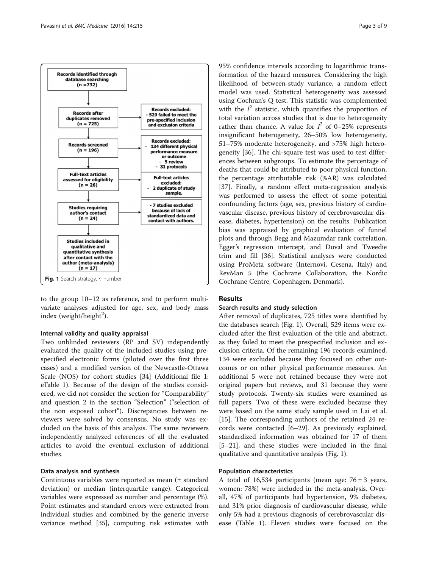<span id="page-2-0"></span>

to the group 10–12 as reference, and to perform multivariate analyses adjusted for age, sex, and body mass index (weight/height<sup>2</sup>).

#### Internal validity and quality appraisal

Two unblinded reviewers (RP and SV) independently evaluated the quality of the included studies using prespecified electronic forms (piloted over the first three cases) and a modified version of the Newcastle-Ottawa Scale (NOS) for cohort studies [[34](#page-7-0)] (Additional file [1](#page-6-0): eTable 1). Because of the design of the studies considered, we did not consider the section for "Comparability" and question 2 in the section "Selection" ("selection of the non exposed cohort"). Discrepancies between reviewers were solved by consensus. No study was excluded on the basis of this analysis. The same reviewers independently analyzed references of all the evaluated articles to avoid the eventual exclusion of additional studies.

#### Data analysis and synthesis

Continuous variables were reported as mean (± standard deviation) or median (interquartile range). Categorical variables were expressed as number and percentage (%). Point estimates and standard errors were extracted from individual studies and combined by the generic inverse variance method [[35\]](#page-7-0), computing risk estimates with 95% confidence intervals according to logarithmic transformation of the hazard measures. Considering the high likelihood of between-study variance, a random effect model was used. Statistical heterogeneity was assessed using Cochran's Q test. This statistic was complemented with the  $I^2$  statistic, which quantifies the proportion of total variation across studies that is due to heterogeneity rather than chance. A value for  $I^2$  of 0-25% represents insignificant heterogeneity, 26–50% low heterogeneity, 51–75% moderate heterogeneity, and >75% high heterogeneity [\[36](#page-7-0)]. The chi-square test was used to test differences between subgroups. To estimate the percentage of deaths that could be attributed to poor physical function, the percentage attributable risk (%AR) was calculated [[37\]](#page-7-0). Finally, a random effect meta-regression analysis was performed to assess the effect of some potential confounding factors (age, sex, previous history of cardiovascular disease, previous history of cerebrovascular disease, diabetes, hypertension) on the results. Publication bias was appraised by graphical evaluation of funnel plots and through Begg and Mazumdar rank correlation, Egger's regression intercept, and Duval and Tweedie trim and fill [\[36](#page-7-0)]. Statistical analyses were conducted using ProMeta software (Internovi, Cesena, Italy) and RevMan 5 (the Cochrane Collaboration, the Nordic Cochrane Centre, Copenhagen, Denmark).

#### Results

#### Search results and study selection

After removal of duplicates, 725 titles were identified by the databases search (Fig. 1). Overall, 529 items were excluded after the first evaluation of the title and abstract, as they failed to meet the prespecified inclusion and exclusion criteria. Of the remaining 196 records examined, 134 were excluded because they focused on other outcomes or on other physical performance measures. An additional 5 were not retained because they were not original papers but reviews, and 31 because they were study protocols. Twenty-six studies were examined as full papers. Two of these were excluded because they were based on the same study sample used in Lai et al. [[15\]](#page-7-0). The corresponding authors of the retained 24 records were contacted [\[6](#page-7-0)–[29\]](#page-7-0). As previously explained, standardized information was obtained for 17 of them [[5](#page-7-0)–[21\]](#page-7-0), and these studies were included in the final qualitative and quantitative analysis (Fig. 1).

#### Population characteristics

A total of 16,534 participants (mean age:  $76 \pm 3$  years, women: 78%) were included in the meta-analysis. Overall, 47% of participants had hypertension, 9% diabetes, and 31% prior diagnosis of cardiovascular disease, while only 5% had a previous diagnosis of cerebrovascular disease (Table [1](#page-3-0)). Eleven studies were focused on the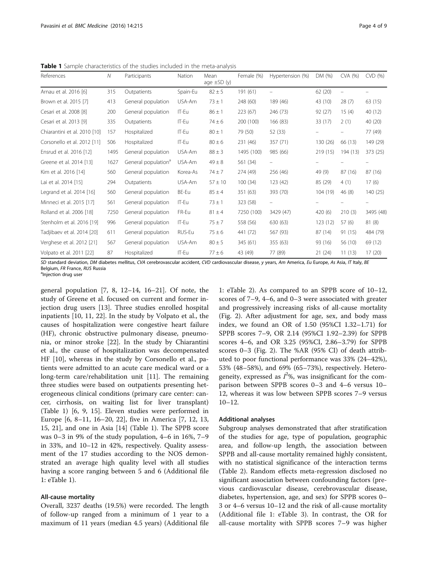<span id="page-3-0"></span>Table 1 Sample characteristics of the studies included in the meta-analysis

| References                   | $\mathcal N$ | Participants                    | Nation   | Mean<br>age $\pm$ SD (y) | Female (%) | Hypertension (%)         | DM (%)   | CVA (%)                  | CVD(%)                   |
|------------------------------|--------------|---------------------------------|----------|--------------------------|------------|--------------------------|----------|--------------------------|--------------------------|
| Arnau et al. 2016 [6]        | 315          | Outpatients                     | Spain-Eu | $82 \pm 5$               | 191 (61)   |                          | 62 (20)  | $\overline{\phantom{0}}$ |                          |
| Brown et al. 2015 [7]        | 413          | General population              | USA-Am   | $73 \pm 1$               | 248 (60)   | 189 (46)                 | 43 (10)  | 28(7)                    | 63 (15)                  |
| Cesari et al. 2008 [8]       | 200          | General population              | IT-Eu    | $86 \pm 1$               | 223 (67)   | 246 (73)                 | 92(27)   | 15(4)                    | 40 (12)                  |
| Cesari et al. 2013 [9]       | 335          | Outpatients                     | IT-Eu    | $74 \pm 6$               | 200 (100)  | 166 (83)                 | 33 (17)  | 2(1)                     | 40 (20)                  |
| Chiarantini et al. 2010 [10] | 157          | Hospitalized                    | IT-Eu    | $80 \pm 1$               | 79 (50)    | 52 (33)                  |          |                          | 77 (49)                  |
| Corsonello et al. 2012 [11]  | 506          | Hospitalized                    | IT-Eu    | $80 \pm 6$               | 231 (46)   | 357 (71)                 | 130 (26) | 66 (13)                  | 149 (29)                 |
| Ensrud et al. 2016 [12]      | 1495         | General population              | USA-Am   | $88 \pm 3$               | 1495 (100) | 985 (66)                 | 219 (15) | 194 (13)                 | 373 (25)                 |
| Greene et al. 2014 [13]      | 1627         | General population <sup>a</sup> | USA-Am   | $49 \pm 8$               | 561 (34)   | $\overline{\phantom{0}}$ |          |                          | $\overline{\phantom{0}}$ |
| Kim et al. 2016 [14]         | 560          | General population              | Korea-As | $74 \pm 7$               | 274 (49)   | 256 (46)                 | 49 (9)   | 87 (16)                  | 87 (16)                  |
| Lai et al. 2014 [15]         | 294          | Outpatients                     | USA-Am   | $57 \pm 10$              | 100(34)    | 123 (42)                 | 85 (29)  | 4(1)                     | 17(6)                    |
| Legrand et al. 2014 [16]     | 560          | General population              | BE-Eu    | $85 \pm 4$               | 351 (63)   | 393 (70)                 | 104 (19) | 46(8)                    | 140(25)                  |
| Minneci et al. 2015 [17]     | 561          | General population              | IT-Eu    | $73 \pm 1$               | 323 (58)   | -                        |          |                          | $\overline{\phantom{0}}$ |
| Rolland et al. 2006 [18]     | 7250         | General population              | FR-Eu    | $81 \pm 4$               | 7250 (100) | 3429 (47)                | 420(6)   | 210(3)                   | 3495 (48)                |
| Stenholm et al. 2016 [19]    | 996          | General population              | IT-Eu    | $75 + 7$                 | 558 (56)   | 630 (63)                 | 123(12)  | 57(6)                    | 81(8)                    |
| Tadjibaev et al. 2014 [20]   | 611          | General population              | RUS-Eu   | $75 \pm 6$               | 441 (72)   | 567 (93)                 | 87 (14)  | 91 (15)                  | 484 (79)                 |
| Verghese et al. 2012 [21]    | 567          | General population              | USA-Am   | $80 \pm 5$               | 345 (61)   | 355 (63)                 | 93 (16)  | 56 (10)                  | 69 (12)                  |
| Volpato et al. 2011 [22]     | 87           | Hospitalized                    | IT-Eu    | $77 \pm 6$               | 43 (49)    | 77 (89)                  | 21(24)   | 11(13)                   | 17(20)                   |

SD standard deviation, DM diabetes mellitus, CVA cerebrovascular accident, CVD cardiovascular disease, y years, Am America, Eu Europe, As Asia, IT Italy, BE Belgium, FR France, RUS Russia

<sup>a</sup>Injection drug user

general population  $[7, 8, 12-14, 16-21]$  $[7, 8, 12-14, 16-21]$  $[7, 8, 12-14, 16-21]$  $[7, 8, 12-14, 16-21]$  $[7, 8, 12-14, 16-21]$  $[7, 8, 12-14, 16-21]$  $[7, 8, 12-14, 16-21]$  $[7, 8, 12-14, 16-21]$  $[7, 8, 12-14, 16-21]$ . Of note, the study of Greene et al. focused on current and former injection drug users [\[13](#page-7-0)]. Three studies enrolled hospital inpatients [\[10, 11](#page-7-0), [22](#page-7-0)]. In the study by Volpato et al., the causes of hospitalization were congestive heart failure (HF), chronic obstructive pulmonary disease, pneumonia, or minor stroke [\[22](#page-7-0)]. In the study by Chiarantini et al., the cause of hospitalization was decompensated HF [[10\]](#page-7-0), whereas in the study by Corsonello et al., patients were admitted to an acute care medical ward or a long-term care/rehabilitation unit [[11](#page-7-0)]. The remaining three studies were based on outpatients presenting heterogeneous clinical conditions (primary care center: cancer, cirrhosis, on waiting list for liver transplant) (Table 1) [[6, 9, 15](#page-7-0)]. Eleven studies were performed in Europe [[6, 8](#page-7-0)–[11](#page-7-0), [16](#page-7-0)–[20, 22\]](#page-7-0), five in America [[7, 12, 13](#page-7-0), [15, 21](#page-7-0)], and one in Asia [\[14](#page-7-0)] (Table 1). The SPPB score was 0–3 in 9% of the study population, 4–6 in 16%, 7–9 in 33%, and 10–12 in 42%, respectively. Quality assessment of the 17 studies according to the NOS demonstrated an average high quality level with all studies having a score ranging between 5 and 6 (Additional file [1:](#page-6-0) eTable 1).

#### All-cause mortality

Overall, 3237 deaths (19.5%) were recorded. The length of follow-up ranged from a minimum of 1 year to a maximum of 11 years (median 4.5 years) (Additional file

[1:](#page-6-0) eTable 2). As compared to an SPPB score of 10–12, scores of 7–9, 4–6, and 0–3 were associated with greater and progressively increasing risks of all-cause mortality (Fig. [2\)](#page-4-0). After adjustment for age, sex, and body mass index, we found an OR of 1.50 (95%CI 1.32–1.71) for SPPB scores 7–9, OR 2.14 (95%CI 1.92–2.39) for SPPB scores 4–6, and OR 3.25 (95%CI, 2.86–3.79) for SPPB scores 0–3 (Fig. [2](#page-4-0)). The %AR (95% CI) of death attributed to poor functional performance was 33% (24–42%), 53% (48–58%), and 69% (65–73%), respectively. Heterogeneity, expressed as  $I^{2}\%$ , was insignificant for the comparison between SPPB scores 0–3 and 4–6 versus 10– 12, whereas it was low between SPPB scores 7–9 versus 10–12.

#### Additional analyses

Subgroup analyses demonstrated that after stratification of the studies for age, type of population, geographic area, and follow-up length, the association between SPPB and all-cause mortality remained highly consistent, with no statistical significance of the interaction terms (Table [2](#page-5-0)). Random effects meta-regression disclosed no significant association between confounding factors (previous cardiovascular disease, cerebrovascular disease, diabetes, hypertension, age, and sex) for SPPB scores 0– 3 or 4–6 versus 10–12 and the risk of all-cause mortality (Additional file [1:](#page-6-0) eTable 3). In contrast, the OR for all-cause mortality with SPPB scores 7–9 was higher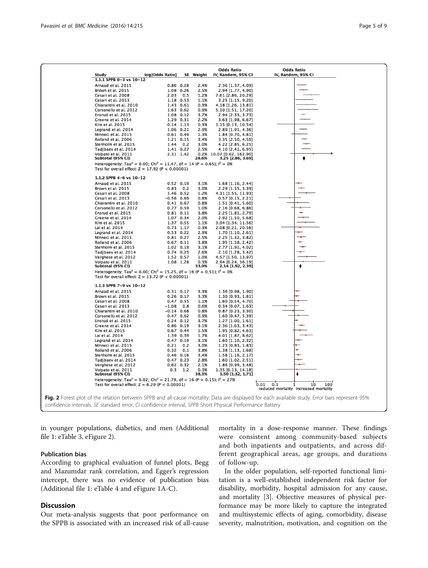<span id="page-4-0"></span>

in younger populations, diabetics, and men (Additional file [1](#page-6-0): eTable 3, eFigure 2).

#### Publication bias

According to graphical evaluation of funnel plots, Begg and Mazumdar rank correlation, and Egger's regression intercept, there was no evidence of publication bias (Additional file [1](#page-6-0): eTable 4 and eFigure 1A-C).

#### **Discussion**

Our meta-analysis suggests that poor performance on the SPPB is associated with an increased risk of all-cause

mortality in a dose-response manner. These findings were consistent among community-based subjects and both inpatients and outpatients, and across different geographical areas, age groups, and durations of follow-up.

In the older population, self-reported functional limitation is a well-established independent risk factor for disability, morbidity, hospital admission for any cause, and mortality [[3\]](#page-7-0). Objective measures of physical performance may be more likely to capture the integrated and multisystemic effects of aging, comorbidity, disease severity, malnutrition, motivation, and cognition on the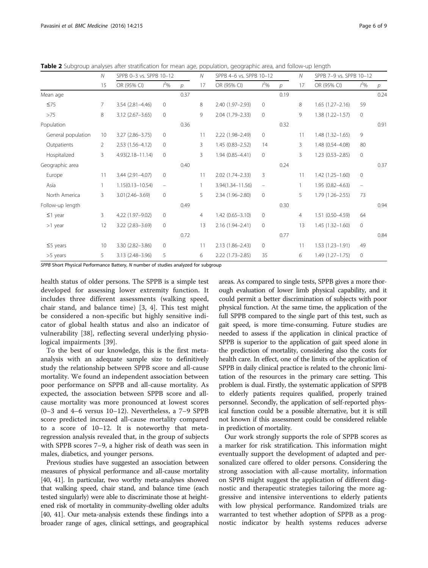|                    | $\mathcal N$<br>15 | SPPB 0-3 vs. SPPB 10-12 |                   |               | $\mathcal N$   | SPPB 4-6 vs. SPPB 10-12 |                   |               | $\mathcal N$ | SPPB 7-9 vs. SPPB 10-12 |                          |                |
|--------------------|--------------------|-------------------------|-------------------|---------------|----------------|-------------------------|-------------------|---------------|--------------|-------------------------|--------------------------|----------------|
|                    |                    | OR (95% CI)             | $1^2\%$           | $\mathcal{D}$ | 17             | OR (95% CI)             | $1^2\%$           | $\mathcal{D}$ | 17           | OR (95% CI)             | $1^2\%$                  | $\overline{p}$ |
| Mean age           |                    |                         |                   | 0.37          |                |                         |                   | 0.19          |              |                         |                          | 0.24           |
| $\leq 75$          | $\overline{7}$     | $3.54(2.81 - 4.46)$     | $\circ$           |               | 8              | 2.40 (1.97-2.93)        | $\circ$           |               | 8            | $1.65(1.27 - 2.16)$     | 59                       |                |
| >75                | 8                  | $3.12$ (2.67-3.65)      | $\mathbf{0}$      |               | 9              | 2.04 (1.79-2.33)        | $\circ$           |               | 9            | $1.38(1.22 - 1.57)$     | $\circ$                  |                |
| Population         |                    |                         |                   | 0.36          |                |                         |                   | 0.32          |              |                         |                          | 0.91           |
| General population | 10                 | $3.27(2.86 - 3.75)$     | $\mathbf{0}$      |               | 11             | 2.22 (1.98-2.49)        | 0                 |               | 11           | $1.48(1.32 - 1.65)$     | 9                        |                |
| Outpatients        | $\overline{2}$     | 2.53 (1.56-4.12)        | $\mathbf{0}$      |               | 3              | $1.45(0.83 - 2.52)$     | 14                |               | 3            | 1.48 (0.54-4.08)        | 80                       |                |
| Hospitalized       | 3                  | $4.93(2.18 - 11.14)$    | $\mathbf{0}$      |               | 3              | $1.94(0.85 - 4.41)$     | $\circ$           |               | 3            | $1.23(0.53 - 2.85)$     | 0                        |                |
| Geographic area    |                    |                         |                   | 0.40          |                |                         |                   | 0.24          |              |                         |                          | 0.37           |
| Europe             | 11                 | 3.44 (2.91-4.07)        | 0                 |               | 11             | 2.02 (1.74-2.33)        | 3                 |               | 11           | $1.42(1.25 - 1.60)$     | 0                        |                |
| Asia               | 1                  | $1.15(0.13 - 10.54)$    | $\qquad \qquad -$ |               |                | 3.94(1.34-11.56)        | $\qquad \qquad -$ |               | $\mathbf{1}$ | $1.95(0.82 - 4.63)$     | $\overline{\phantom{0}}$ |                |
| North America      | $\overline{3}$     | $3.01(2.46 - 3.69)$     | $\mathbf{0}$      |               | 5              | 2.34 (1.96-2.80)        | $\circ$           |               | 5            | $1.79(1.26 - 2.55)$     | 73                       |                |
| Follow-up length   |                    |                         |                   | 0.49          |                |                         |                   | 0.30          |              |                         |                          | 0.94           |
| $\leq$ 1 year      | 3                  | 4.22 (1.97-9.02)        | $\mathbf{0}$      |               | $\overline{4}$ | $1.42(0.65 - 3.10)$     | 0                 |               | 4            | $1.51(0.50 - 4.59)$     | 64                       |                |
| $>1$ year          | 12                 | 3.22 (2.83-3.69)        | $\circ$           |               | 13             | 2.16 (1.94-2.41)        | $\circ$           |               | 13           | $1.45(1.32 - 1.60)$     | 0                        |                |
|                    |                    |                         |                   | 0.72          |                |                         |                   | 0.77          |              |                         |                          | 0.84           |
| $\leq$ 5 years     | 10                 | 3.30 (2.82-3.86)        | $\mathbf{0}$      |               | 11             | $2.13(1.86 - 2.43)$     | 0                 |               | 11           | $1.53(1.23 - 1.91)$     | 49                       |                |
| >5 years           | 5                  | 3.13 (2.48-3.96)        | 5                 |               | 6              | $2.22(1.73 - 2.85)$     | 35                |               | 6            | $1.49(1.27 - 1.75)$     | 0                        |                |

<span id="page-5-0"></span>Table 2 Subgroup analyses after stratification for mean age, population, geographic area, and follow-up length

SPPB Short Physical Performance Battery, N number of studies analyzed for subgroup

health status of older persons. The SPPB is a simple test developed for assessing lower extremity function. It includes three different assessments (walking speed, chair stand, and balance time) [[3, 4\]](#page-7-0). This test might be considered a non-specific but highly sensitive indicator of global health status and also an indicator of vulnerability [[38\]](#page-8-0), reflecting several underlying physiological impairments [\[39](#page-8-0)].

To the best of our knowledge, this is the first metaanalysis with an adequate sample size to definitively study the relationship between SPPB score and all-cause mortality. We found an independent association between poor performance on SPPB and all-cause mortality. As expected, the association between SPPB score and allcause mortality was more pronounced at lowest scores (0–3 and 4–6 versus 10–12). Nevertheless, a 7–9 SPPB score predicted increased all-cause mortality compared to a score of 10–12. It is noteworthy that metaregression analysis revealed that, in the group of subjects with SPPB scores 7–9, a higher risk of death was seen in males, diabetics, and younger persons.

Previous studies have suggested an association between measures of physical performance and all-cause mortality [[40](#page-8-0), [41](#page-8-0)]. In particular, two worthy meta-analyses showed that walking speed, chair stand, and balance time (each tested singularly) were able to discriminate those at heightened risk of mortality in community-dwelling older adults [[40](#page-8-0), [41\]](#page-8-0). Our meta-analysis extends these findings into a broader range of ages, clinical settings, and geographical

areas. As compared to single tests, SPPB gives a more thorough evaluation of lower limb physical capability, and it could permit a better discrimination of subjects with poor physical function. At the same time, the application of the full SPPB compared to the single part of this test, such as gait speed, is more time-consuming. Future studies are needed to assess if the application in clinical practice of SPPB is superior to the application of gait speed alone in the prediction of mortality, considering also the costs for health care. In effect, one of the limits of the application of SPPB in daily clinical practice is related to the chronic limitation of the resources in the primary care setting. This problem is dual. Firstly, the systematic application of SPPB to elderly patients requires qualified, properly trained personnel. Secondly, the application of self-reported physical function could be a possible alternative, but it is still not known if this assessment could be considered reliable in prediction of mortality.

Our work strongly supports the role of SPPB scores as a marker for risk stratification. This information might eventually support the development of adapted and personalized care offered to older persons. Considering the strong association with all-cause mortality, information on SPPB might suggest the application of different diagnostic and therapeutic strategies tailoring the more aggressive and intensive interventions to elderly patients with low physical performance. Randomized trials are warranted to test whether adoption of SPPB as a prognostic indicator by health systems reduces adverse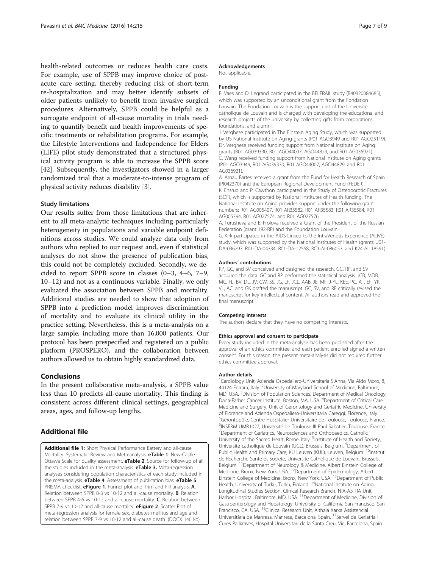<span id="page-6-0"></span>health-related outcomes or reduces health care costs. For example, use of SPPB may improve choice of postacute care setting, thereby reducing risk of short-term re-hospitalization and may better identify subsets of older patients unlikely to benefit from invasive surgical procedures. Alternatively, SPPB could be helpful as a surrogate endpoint of all-cause mortality in trials needing to quantify benefit and health improvements of specific treatments or rehabilitation programs. For example, the Lifestyle Interventions and Independence for Elders (LIFE) pilot study demonstrated that a structured physical activity program is able to increase the SPPB score [[42\]](#page-8-0). Subsequently, the investigators showed in a larger randomized trial that a moderate-to-intense program of physical activity reduces disability [[3\]](#page-7-0).

#### Study limitations

Our results suffer from those limitations that are inherent to all meta-analytic techniques including particularly heterogeneity in populations and variable endpoint definitions across studies. We could analyze data only from authors who replied to our request and, even if statistical analyses do not show the presence of publication bias, this could not be completely excluded. Secondly, we decided to report SPPB score in classes (0–3, 4–6, 7–9, 10–12) and not as a continuous variable. Finally, we only evaluated the association between SPPB and mortality. Additional studies are needed to show that adoption of SPPB into a prediction model improves discrimination of mortality and to evaluate its clinical utility in the practice setting. Nevertheless, this is a meta-analysis on a large sample, including more than 16,000 patients. Our protocol has been prespecified and registered on a public platform (PROSPERO), and the collaboration between authors allowed us to obtain highly standardized data.

#### Conclusions

In the present collaborative meta-analysis, a SPPB value less than 10 predicts all-cause mortality. This finding is consistent across different clinical settings, geographical areas, ages, and follow-up lengths.

#### Additional file

[Additional file 1:](dx.doi.org/10.1186/s12916-016-0763-7) Short Physical Performance Battery and all-cause Mortality: Systematic Review and Meta-analysis. eTable 1. New-Castle Ottawa Scale for quality assessment. **eTable 2**. Source for follow-up of all the studies included in the meta-analysis. **eTable 3.** Meta-regression analyses considering population characteristics of each study included in the meta-analysis. eTable 4. Assessment of publication bias. eTable 5. PRISMA checklist. eFigure 1. Funnel plot and Trim and Fill analysis. A. Relation between SPPB 0-3 vs 10-12 and all-cause mortality. B. Relation between SPPB 4-6 vs 10-12 and all-cause mortality. C. Relation between SPPB 7-9 vs 10-12 and all-cause mortality. **eFigure 2**. Scatter Plot of meta-regression analysis for female sex, diabetes mellitus and age and relation between SPPB 7-9 vs 10-12 and all-cause death. (DOCX 146 kb)

#### Acknowledgements

Not applicable.

#### Funding

B. Vaes and D. Legrand participated in the BELFRAIL study (B40320084685), which was supported by an unconditional grant from the Fondation Louvain. The Fondation Louvain is the support unit of the Université catholique de Louvain and is charged with developing the educational and research projects of the university by collecting gifts from corporations, foundations, and alumni.

J. Verghese participated in The Einstein Aging Study, which was supported by US National Institute on Aging grants (P01 AGO3949 and R01 AGO25119). Dr. Verghese received funding support from National Institute on Aging grants (R01 AG039330, R01 AGO44007, AGO44829, and R01 AG036921). C. Wang received funding support from National Institute on Aging grants (P01 AGO3949, R01 AG039330, R01 AGO44007, AGO44829, and R01 AG036921).

A. Arnau Bartes received a grant from the Fund for Health Research of Spain (PI042370) and the European Regional Development Fund (FEDER). K. Ensrud and P. Cawthon participated in the Study of Osteoporotic Fractures (SOF), which is supported by National Institutes of Health funding. The National Institute on Aging provides support under the following grant

numbers: R01 AG005407, R01 AR35582, R01 AR35583, R01 AR35584, R01 AG005394, R01 AG027574, and R01 AG027576.

A. Turusheva and E. Frolova received a Grant of the President of the Russian Federation (grant 192-RP) and the Foundation Louvain.

G. Kirk participated in the AIDS Linked to the IntraVenous Experience (ALIVE) study, which was supported by the National Institutes of Health (grants U01- DA-036297, R01-DA-04334, R01-DA-12568, RC1-AI-086053, and K24-AI118591).

#### Authors' contributions

RP, GC, and SV conceived and designed the research. GC, RP, and SV acquired the data. GC and RP performed the statistical analysis. JCB, MDB, MC, FL, BV, DL, JV, CW, SS, JG, LF, JCL, AAB, JE, MF, J-YL, KEE, PC, AT, EF, YR, VL, AC, and GK drafted the manuscript. GC, SV, and RF critically revised the manuscript for key intellectual content. All authors read and approved the final manuscript.

#### Competing interests

The authors declare that they have no competing interests.

#### Ethics approval and consent to participate

Every study included in the meta-analysis has been published after the approval of an ethics committee, and each patient enrolled signed a written consent. For this reason, the present meta-analysis did not required further ethics committee approval.

#### Author details

<sup>1</sup> Cardiology Unit, Azienda Ospedaliero-Universitaria S.Anna, Via Aldo Moro, 8 44124 Ferrara, Italy. <sup>2</sup>University of Maryland School of Medicine, Baltimore, MD, USA. <sup>3</sup>Division of Population Sciences, Department of Medical Oncology, Dana-Farber Cancer Institute, Boston, MA, USA. <sup>4</sup>Department of Critical Care Medicine and Surgery, Unit of Gerontology and Geriatric Medicine, University of Florence and Azienda Ospedaliero-Universitaria Careggi, Florence, Italy. <sup>5</sup>Gérontopôle, Centre Hospitalier Universitaire de Toulouse, Toulouse, France <sup>6</sup>INSERM UMR1027, Université de Toulouse III Paul Sabatier, Toulouse, France. <sup>7</sup>Department of Geriatrics, Neurosciences and Orthopaedics, Catholic University of the Sacred Heart, Rome, Italy. <sup>8</sup>Institute of Health and Society, Université catholique de Louvain (UCL), Brussels, Belgium. <sup>9</sup>Department of Public Health and Primary Care, KU Leuven (KUL), Leuven, Belgium. <sup>10</sup>Institut de Recherche Sante et Societe, Universite Catholique de Louvain, Brussels, Belgium. 11Department of Neurology & Medicine, Albert Einstein College of Medicine, Bronx, New York, USA. 12Department of Epidemiology, Albert Einstein College of Medicine, Bronx, New York, USA.<sup>13</sup>Department of Public Health, University of Turku, Turku, Finland. <sup>14</sup>National Institute on Aging, Longitudinal Studies Section, Clinical Research Branch, NIA-ASTRA Unit, Harbor Hospital, Baltimore, MD, USA. <sup>15</sup>Department of Medicine, Division of Gastroenterology and Hepatology, University of California San Francisco, San Francisco, CA, USA. <sup>16</sup>Clinical Research Unit, Althaia Xarxa Assistencial Universitària de Manresa, Manresa, Barcelona, Spain. <sup>17</sup>Servei de Geriatria i Cures Palliatives, Hospital Universitari de la Santa Creu, Vic, Barcelona, Spain.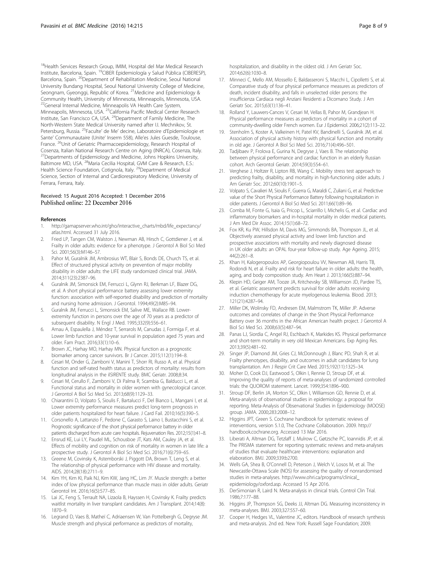<span id="page-7-0"></span><sup>18</sup>Health Services Research Group, IMIM, Hospital del Mar Medical Research Institute, Barcelona, Spain. 19CIBER Epidemiología y Salud Pública (CIBERESP), Barcelona, Spain. 20Department of Rehabilitation Medicine, Seoul National University Bundang Hospital, Seoul National University College of Medicine, Seongnam, Gyeonggi, Republic of Korea. <sup>21</sup> Medicine and Epidemiology & Community Health, University of Minnesota, Minneapolis, Minnesota, USA. <sup>22</sup>General Internal Medicine, Minneapolis VA Health Care System, Minneapolis, Minnesota, USA. <sup>23</sup>California Pacific Medical Center Research Institute, San Francisco CA, USA. 24Department of Family Medicine, The North-Western State Medical University named after I.I. Mechnikov, St. Petersburg, Russia. 25Faculte' de Me' decine, Laboratoire d'Epidemiologie et Sante' Communautaire (Unite' Inserm 558), Alle'es Jules Guesde, Toulouse, France. <sup>26</sup>Unit of Geriatric Pharmacoepidemiology, Research Hospital of Cosenza, Italian National Research Centre on Aging (INRCA), Cosenza, Italy. <sup>27</sup>Departments of Epidemiology and Medicine, Johns Hopkins University, Baltimore MD, USA. 28Maria Cecilia Hospital, GVM Care & Research, E.S.: Health Science Foundation, Cotignola, Italy. <sup>29</sup>Department of Medical Science, Section of Internal and Cardiorespiratory Medicine, University of Ferrara, Ferrara, Italy.

#### Received: 15 August 2016 Accepted: 1 December 2016 Published online: 22 December 2016

#### References

- 1. [http://gamapserver.who.int/gho/interactive\\_charts/mbd/life\\_expectancy/](http://gamapserver.who.int/gho/interactive_charts/mbd/life_expectancy/atlas.html) [atlas.html.](http://gamapserver.who.int/gho/interactive_charts/mbd/life_expectancy/atlas.html) Accessed 31 July 2016.
- 2. Fried LP, Tangen CM, Walston J, Newman AB, Hirsch C, Gottdiener J, et al. Frailty in older adults: evidence for a phenotype. J Gerontol A Biol Sci Med Sci. 2001;56(3):M146–57.
- 3. Pahor M, Guralnik JM, Ambrosius WT, Blair S, Bonds DE, Church TS, et al. Effect of structured physical activity on prevention of major mobility disability in older adults: the LIFE study randomized clinical trial. JAMA. 2014;311(23):2387–96.
- 4. Guralnik JM, Simonsick EM, Ferrucci L, Glynn RJ, Berkman LF, Blazer DG, et al. A short physical performance battery assessing lower extremity function: association with self-reported disability and prediction of mortality and nursing home admission. J Gerontol. 1994;49(2):M85–94.
- 5. Guralnik JM, Ferrucci L, Simonsick EM, Salive ME, Wallace RB. Lowerextremity function in persons over the age of 70 years as a predictor of subsequent disability. N Engl J Med. 1995;332(9):556–61.
- 6. Arnau A, Espaulella J, Méndez T, Serrarols M, Canudas J, Formiga F, et al. Lower limb function and 10-year survival in population aged 75 years and older. Fam Pract. 2016;33(1):10–6.
- 7. Brown JC, Harhay MO, Harhay MN. Physical function as a prognostic biomarker among cancer survivors. Br J Cancer. 2015;112(1):194–8.
- 8. Cesari M, Onder G, Zamboni V, Manini T, Shorr RI, Russo A, et al. Physical function and self-rated health status as predictors of mortality: results from longitudinal analysis in the ilSIRENTE study. BMC Geriatr. 2008;8:34.
- 9. Cesari M, Cerullo F, Zamboni V, Di Palma R, Scambia G, Balducci L, et al. Functional status and mortality in older women with gynecological cancer. J Gerontol A Biol Sci Med Sci. 2013;68(9):1129–33.
- 10. Chiarantini D, Volpato S, Sioulis F, Bartalucci F, Del Bianco L, Mangani I, et al. Lower extremity performance measures predict long-term prognosis in older patients hospitalized for heart failure. J Card Fail. 2010;16(5):390–5.
- 11. Corsonello A, Lattanzio F, Pedone C, Garasto S, Laino I, Bustacchini S, et al. Prognostic significance of the short physical performance battery in older patients discharged from acute care hospitals. Rejuvenation Res. 2012;15(1):41–8.
- 12. Ensrud KE, Lui LY, Paudel ML, Schousboe JT, Kats AM, Cauley JA, et al. Effects of mobility and cognition on risk of mortality in women in late life: a prospective study. J Gerontol A Biol Sci Med Sci. 2016;71(6):759–65.
- 13. Greene M, Covinsky K, Astemborski J, Piggott DA, Brown T, Leng S, et al. The relationship of physical performance with HIV disease and mortality. AIDS. 2014;28(18):2711–9.
- 14. Kim YH, Kim KI, Paik NJ, Kim KW, Jang HC, Lim JY. Muscle strength: a better index of low physical performance than muscle mass in older adults. Geriatr Gerontol Int. 2016;16(5):577–85.
- 15. Lai JC, Feng S, Terrault NA, Lizaola B, Hayssen H, Covinsky K. Frailty predicts waitlist mortality in liver transplant candidates. Am J Transplant. 2014;14(8): 1870–9.
- 16. Legrand D, Vaes B, Matheï C, Adriaensen W, Van Pottelbergh G, Degryse JM. Muscle strength and physical performance as predictors of mortality,

hospitalization, and disability in the oldest old. J Am Geriatr Soc. 2014;62(6):1030–8.

- 17. Minneci C, Mello AM, Mossello E, Baldasseroni S, Macchi L, Cipolletti S, et al. Comparative study of four physical performance measures as predictors of death, incident disability, and falls in unselected older persons: the insufficienza Cardiaca negli Anziani Residenti a Dicomano Study. J Am Geriatr Soc. 2015;63(1):136–41.
- 18. Rolland Y, Lauwers-Cances V, Cesari M, Vellas B, Pahor M, Grandjean H. Physical performance measures as predictors of mortality in a cohort of community-dwelling older French women. Eur J Epidemiol. 2006;21(2):113–22.
- 19. Stenholm S, Koster A, Valkeinen H, Patel KV, Bandinelli S, Guralnik JM, et al. Association of physical activity history with physical function and mortality in old age. J Gerontol A Biol Sci Med Sci. 2016;71(4):496–501.
- 20. Tadjibaev P, Frolova E, Gurina N, Degryse J, Vaes B. The relationship between physical performance and cardiac function in an elderly Russian cohort. Arch Gerontol Geriatr. 2014;59(3):554–61.
- 21. Verghese J, Holtzer R, Lipton RB, Wang C, Mobility stress test approach to predicting frailty, disability, and mortality in high-functioning older adults. J Am Geriatr Soc. 2012;60(10):1901–5.
- 22. Volpato S, Cavalieri M, Sioulis F, Guerra G, Maraldi C, Zuliani G, et al. Predictive value of the Short Physical Performance Battery following hospitalization in older patients. J Gerontol A Biol Sci Med Sci. 2011;66(1):89–96.
- 23. Comba M, Fonte G, Isaia G, Pricop L, Sciarrillo I, Michelis G, et al. Cardiac and inflammatory biomarkers and in-hospital mortality in older medical patients. J Am Med Dir Assoc. 2014;15(1):68–72.
- 24. Fox KR, Ku PW, Hillsdon M, Davis MG, Simmonds BA, Thompson JL, et al. Objectively assessed physical activity and lower limb function and prospective associations with mortality and newly diagnosed disease in UK older adults: an OPAL four-year follow-up study. Age Ageing. 2015; 44(2):261–8.
- 25. Khan H, Kalogeropoulos AP, Georgiopoulou VV, Newman AB, Harris TB, Rodondi N, et al. Frailty and risk for heart failure in older adults: the health, aging, and body composition study. Am Heart J. 2013;166(5):887–94.
- 26. Klepin HD, Geiger AM, Tooze JA, Kritchevsky SB, Williamson JD, Pardee TS, et al. Geriatric assessment predicts survival for older adults receiving induction chemotherapy for acute myelogenous leukemia. Blood. 2013; 121(21):4287–94.
- 27. Miller DK, Wolinsky FD, Andresen EM, Malmstrom TK, Miller JP. Adverse outcomes and correlates of change in the Short Physical Performance Battery over 36 months in the African American health project. J Gerontol A Biol Sci Med Sci. 2008;63(5):487–94.
- 28. Panas LJ, Siordia C, Angel RJ, Eschbach K, Markides KS. Physical performance and short-term mortality in very old Mexican Americans. Exp Aging Res. 2013;39(5):481–92.
- 29. Singer JP, Diamond JM, Gries CJ, McDonnough J, Blanc PD, Shah R, et al. Frailty phenotypes, disability, and outcomes in adult candidates for lung transplantation. Am J Respir Crit Care Med. 2015;192(11):1325–34.
- 30. Moher D, Cook DJ, Eastwood S, Olkin I, Rennie D, Stroup DF, et al. Improving the quality of reports of meta-analyses of randomized controlled trials: the QUOROM statement. Lancet. 1999;354:1896–900.
- 31. Stroup DF, Berlin JA, Morton SC, Olkin I, Williamson GD, Rennie D, et al. Meta-analysis of observational studies in epidemiology: a proposal for reporting. Meta-Analysis of Observational Studies in Epidemiology (MOOSE) group. JAMA. 2000;283:2008–12.
- 32. Higgins JPT, Green S. Cochrane handbook for systematic reviews of interventions, version 5.1.0, The Cochrane Collaboration. 2009. http:// handbook.cochrane.org. Accessed 13 Mar 2016.
- 33. Liberati A, Altman DG, Tetzlaff J, Mulrow C, Gøtzsche PC, Ioannidis JP, et al. The PRISMA statement for reporting systematic reviews and meta-analyses of studies that evaluate healthcare interventions: explanation and elaboration. BMJ. 2009;339:b2700.
- 34. Wells GA, Shea B, O'Connell D, Peterson J, Welch V, Losos M, et al. The Newcastle-Ottawa Scale (NOS) for assessing the quality of nonrandomised studies in meta-analyses. [http://www.ohri.ca/programs/clinical\\_](http://www.ohri.ca/programs/clinical_epidemiology/oxford.asp) [epidemiology/oxford.asp.](http://www.ohri.ca/programs/clinical_epidemiology/oxford.asp) Accessed 15 Apr 2016.
- 35. DerSimonian R, Laird N. Meta-analysis in clinical trials. Control Clin Trial. 1986;7:177–88.
- 36. Higgins JP, Thompson SG, Deeks JJ, Altman DG. Measuring inconsistency in meta-analyses. BMJ. 2003;327:557–60.
- 37. Cooper H, Hedges VL, Valentine JC, editors. Handbook of research synthesis and meta-analysis. 2nd ed. New York: Russell Sage Foundation; 2009.